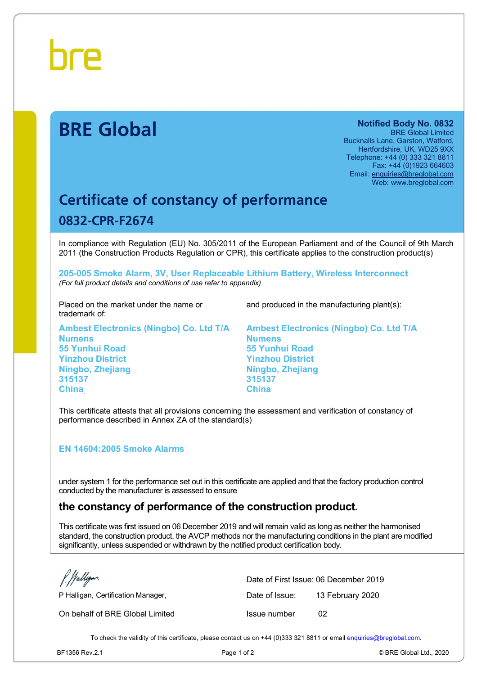

# **BRE Global Notified Body No. 0832**

BRE Global Limited Bucknalls Lane, Garston, Watford, Hertfordshire, UK, WD25 9XX Telephone: +44 (0) 333 321 8811 Fax: +44 (0)1923 664603 Email: [enquiries@breglobal.com](mailto:enquiries@breglobal.com)  Web: [www.breglobal.com](http://www.breglobal.com)

## **Certificate of constancy of performance 0832-CPR-F2674**

In compliance with Regulation (EU) No. 305/2011 of the European Parliament and of the Council of 9th March 2011 (the Construction Products Regulation or CPR), this certificate applies to the construction product(s)

**205-005 Smoke Alarm, 3V, User Replaceable Lithium Battery, Wireless Interconnect**  *(For full product details and conditions of use refer to appendix)* 

Placed on the market under the name or trademark of:

**Ambest Electronics (Ningbo) Co. Ltd T/A Numens 55 Yunhui Road Yinzhou District Ningbo, Zhejiang 315137 China** 

and produced in the manufacturing plant(s):

**Ambest Electronics (Ningbo) Co. Ltd T/A Numens 55 Yunhui Road Yinzhou District Ningbo, Zhejiang 315137 China** 

This certificate attests that all provisions concerning the assessment and verification of constancy of performance described in Annex ZA of the standard(s)

#### **EN 14604:2005 Smoke Alarms**

under system 1 for the performance set out in this certificate are applied and that the factory production control conducted by the manufacturer is assessed to ensure

### **the constancy of performance of the construction product.**

This certificate was first issued on 06 December 2019 and will remain valid as long as neither the harmonised standard, the construction product, the AVCP methods nor the manufacturing conditions in the plant are modified significantly, unless suspended or withdrawn by the notified product certification body.

Walligan

On behalf of BRE Global Limited Issue number 02

Date of First Issue: 06 December 2019 P Halligan, Certification Manager, The Case of Issue: 13 February 2020

To check the validity of this certificate, please contact us on +44 (0)333 321 8811 or email [enquiries@breglobal.com.](mailto:enquiries@breglobal.com)